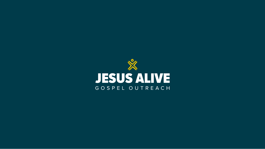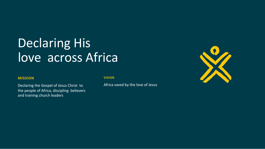# Declaring His love across Africa

#### **MISSION**

Declaring the Gospel of Jesus Christ to the people of Africa, discipling believers and training church leaders

#### **VISION**

Africa saved by the love of Jesus

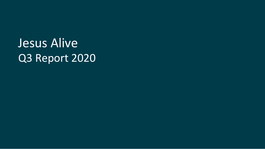Jesus Alive Q3 Report 2020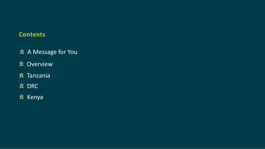### **Contents**



- A Message for You
- Overview
- Tanzania

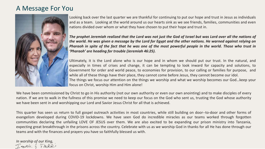### A Message For You



We have been commissioned by Christ to go in His authority (not our own authority or even our own anointing) and to make disciples of every nation. If we are to walk in the fullness of this promise we need to keep our focus on the God who sent us, trusting the God whose authority we have been sent in and worshipping our Lord and Savior Jesus Christ for all that is achieved.

*In worship of our King,* TEAK & TERRI

This quarter has seen us return to full gospel outreach activities in most countries, while still building on door--to-door and other forms of evangelism developed during COVID-19 lockdowns. We have seen God do incredible miracles as our teams worked through forgotten communities declaring the unfailing LOVE OF JESUS over them. We are also excited to be expanding our prison ministry into Tanzania, expecting great breakthrough in the prisons across the country. Celebrate with us as we worship God in thanks for all He has done through our teams and with the finances and prayers you have so faithfully blessed us with.

The prophet Jeremiah realized that the Lord was not just the God of Israel but was Lord over all the nations of the world. He was given a message by the Lord for Egypt and the other nations. He warned against relying on Pharaoh in spite of the fact that he was one of the most powerful people in the world. Those who trust in *'Pharaoh' are heading for trouble (Jeremiah 46:25).*

Looking back over the last quarter we are thankful for continuing to put our hope and trust in Jesus as individuals and as a team. Looking at the world around us our hearts sink as we see friends, families, communities and even nations divided over whom or what they have chosen to put their hope and trust in.

Ultimately, it is the Lord alone who is our hope and in whom we should put our trust. In the natural, and especially in times of crises and change, it can be tempting to look inward for capacity and solutions, to Government for order and world peace, to economies for provision, to our calling or families for purpose, and while all of these things have their place, they cannot come before Jesus, they cannot become our idol. The things we focus our attention on the things we worship and what we worship becomes our God…keep your focus on Christ, worship Him and Him alone!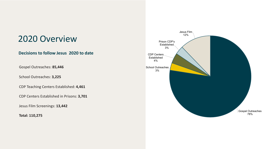### 2020 Overview

#### **Decisions to follow Jesus 2020 to date**

Gospel Outreaches: **85,446**

School Outreaches: **3,225**

CDP Teaching Centers Established: **4,461**

CDP Centers Established in Prisons: **3,701**

Jesus Film Screenings: **13,442**

**Total: 110,275**

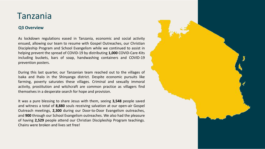### Tanzania

#### **Q3 Overview**

As lockdown regulations eased in Tanzania, economic and social activity ensued, allowing our team to resume with Gospel Outreaches, our Christian Discipleship Program and School Evangelism while we continued to assist in helping prevent the spread of COVID-19 by distributing **1,000** COVID-Care-Kits including buckets, bars of soap, handwashing containers and COVID-19 prevention posters.

During this last quarter, our Tanzanian team reached out to the villages of Isaka and Ihalo in the Shinyanga district. Despite economic pursuits like farming, poverty saturates these villages. Criminal and sexually immoral activity, prostitution and witchcraft are common practice as villagers find themselves in a desperate search for hope and provision.

It was a pure blessing to share Jesus with them, seeing **3,548** people saved and witness a total of **8,880** souls receiving salvation at our open-air Gospel Outreach meetings, **2,300** during our Door-to-Door Evangelism outreaches, and **900** through our School Evangelism outreaches. We also had the pleasure of having **2,529** people attend our Christian Discipleship Program teachings. Chains were broken and lives set free!

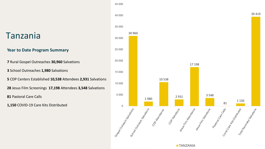|                                                             | 45 000                           |        |                                |
|-------------------------------------------------------------|----------------------------------|--------|--------------------------------|
|                                                             | 40 000                           |        |                                |
|                                                             | 35 000                           |        |                                |
| Tanzania                                                    | 30 000                           | 30 960 |                                |
| <b>Year to Date Program Summary</b>                         | 25 000                           |        |                                |
| <b>7</b> Rural Gospel Outreaches 30,960 Salvations          | 20 000                           |        |                                |
| 3 School Outreaches 1,980 Salvations                        | 15 000                           |        |                                |
| 5 CDP Centers Established 10,538 Attendees 2,931 Salvations | 10 000                           |        |                                |
| 28 Jesus Film Screenings 17,198 Attendees 3,548 Salvations  |                                  |        |                                |
| 81 Pastoral Care Calls                                      | 5 0 0 0                          |        | 19                             |
| 1,150 COVID-19 Care Kits Distributed                        | $\Omega$                         |        |                                |
|                                                             | Goodow Contagns and Gold Million |        | Scriptor Contractor Santagrino |

17 198

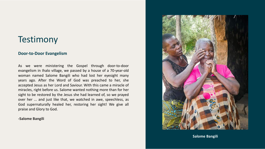#### **Door-to-Door Evangelism**

As we were ministering the Gospel through door-to-door evangelism in Ihalo village, we passed by a house of a 70-year-old woman named Salome Bangili who had lost her eyesight many years ago. After the Word of God was preached to her, she accepted Jesus as her Lord and Saviour. With this came a miracle of miracles, right before us. Salome wanted nothing more than for her sight to be restored by the Jesus she had learned of, so we prayed over her ... and just like that, we watched in awe, speechless, as God supernaturally healed her, restoring her sight! We give all praise and Glory to God.

#### **-Salome Bangili**



**Salome Bangili**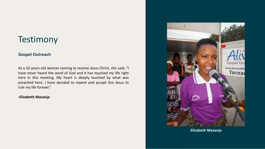#### **Gospel Outreach**

As a 32-years-old woman coming to receive Jesus Christ, she said, "I have never heard the word of God and it has touched my life right here in this meeting. My heart is deeply touched by what was preached here. I have decided to repent and accept this Jesus to rule my life forever."

#### **-Elizabeth Masanja**



**Elizabeth Masanja**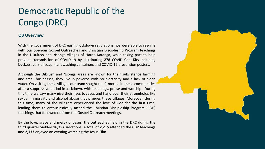## Democratic Republic of the Congo (DRC)

#### **Q3 Overview**

With the government of DRC easing lockdown regulations, we were able to resume with our open-air Gospel Outreaches and Christian Discipleship Program teachings in the Dikulush and Nsonga villages of Haute Katanga, while taking part to help prevent transmission of COVID-19 by distributing **278** COVID Care-Kits including buckets, bars of soap, handwashing containers and COVID-19 prevention posters.

Although the Dikilush and Nsonga areas are known for their subsistence farming and small businesses, they live in poverty, with no electricity and a lack of clean water. On visiting these villages our team sought to lift morale in these communities after a suppressive period in lockdown, with teachings, praise and worship. During this time we saw many give their lives to Jesus and hand over their strongholds like sexual immorality and alcohol abuse that plagues these villages. Moreover, during this time, many of the villagers experienced the love of God for the first time, leading them to enthusiastically attend the Christian Discipleship Program (CDP) teachings that followed on from the Gospel Outreach meetings.

By the love, grace and mercy of Jesus, the outreaches held in the DRC during the third quarter yielded **16,357** salvations. A total of **2,215** attended the CDP teachings and **2,133** enjoyed an evening watching the Jesus Film.

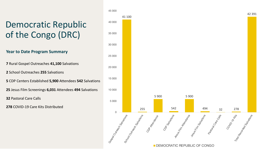|                                                          | 45 000                           |  |                                   |
|----------------------------------------------------------|----------------------------------|--|-----------------------------------|
|                                                          | 41 100                           |  |                                   |
| <b>Democratic Republic</b>                               | 40 000                           |  |                                   |
| of the Congo (DRC)                                       | 35 000                           |  |                                   |
|                                                          | 30 000                           |  |                                   |
| <b>Year to Date Program Summary</b>                      | 25 000                           |  |                                   |
| <b>7</b> Rural Gospel Outreaches 41,100 Salvations       | 20 000                           |  |                                   |
| <b>2</b> School Outreaches 255 Salvations                |                                  |  |                                   |
| 5 CDP Centers Established 5,900 Attendees 542 Salvations | 15 000                           |  |                                   |
| 25 Jesus Film Screenings 6,031 Attendees 494 Salvations  | 10 000                           |  |                                   |
| <b>32 Pastoral Care Calls</b>                            | 5 0 0 0                          |  |                                   |
| <b>278 COVID-19 Care Kits Distributed</b>                |                                  |  | 255                               |
|                                                          | 0<br>Good Office of Gold British |  | Scrool Outles Says and Britishing |

#### DEMOCRATIC REPUBLIC OF CONGO

42 391

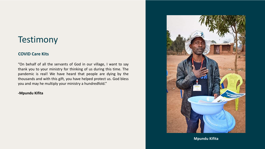#### **COVID Care Kits**

"On behalf of all the servants of God in our village, I want to say thank you to your ministry for thinking of us during this time. The pandemic is real! We have heard that people are dying by the thousands and with this gift, you have helped protect us. God bless you and may he multiply your ministry a hundredfold."

#### **-Mpundu Kifita**



**Mpundu Kifita**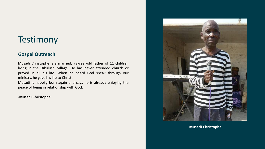### **Gospel Outreach**

Musadi Christophe is a married, 72-year-old father of 11 children living in the Dikulushi village. He has never attended church or prayed in all his life. When he heard God speak through our ministry, he gave his life to Christ!

Musadi is happily born again and says he is already enjoying the peace of being in relationship with God.

#### **-Musadi Christophe**



**Musadi Christophe**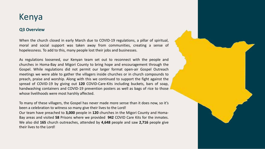### Kenya

#### **Q3 Overview**

When the church closed in early March due to COVID-19 regulations, a pillar of spiritual, moral and social support was taken away from communities, creating a sense of hopelessness. To add to this, many people lost their jobs and businesses.

As regulations loosened, our Kenyan team set out to reconnect with the people and churches in Homa-Bay and Migori County to bring hope and encouragement through the Gospel. While regulations did not permit our larger format open-air Gospel Outreach meetings we were able to gather the villagers inside churches or in church compounds to preach, praise and worship. Along with this we continued to support the fight against the spread of COVID-19 by giving out **120** COVID-Care-Kits including buckets, bars of soap, handwashing containers and COVID-19 prevention posters as well as bags of rice to those whose livelihoods were most harshly affected.

To many of these villagers, the Gospel has never made more sense than it does now, so it's been a celebration to witness so many give their lives to the Lord! Our team have preached to **3,000** people in **120** churches in the Migori County and Homa-Bay areas and visited **58** Prisons where we provided **942** COVID Care Kits for the inmates. We also did **165** church outreaches, attended by **4,648** people and saw **2,716** people give their lives to the Lord!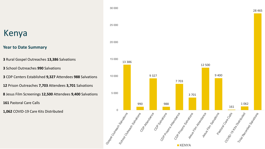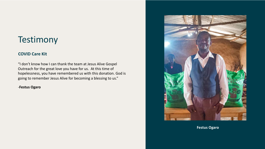#### **COVID Care Kit**

"I don't know how I can thank the team at Jesus Alive Gospel Outreach for the great love you have for us. At this time of hopelessness, you have remembered us with this donation. God is going to remember Jesus Alive for becoming a blessing to us."

#### -**Festus Ogaro**



**Festus Ogaro**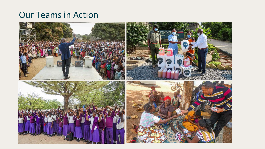### Our Teams in Action